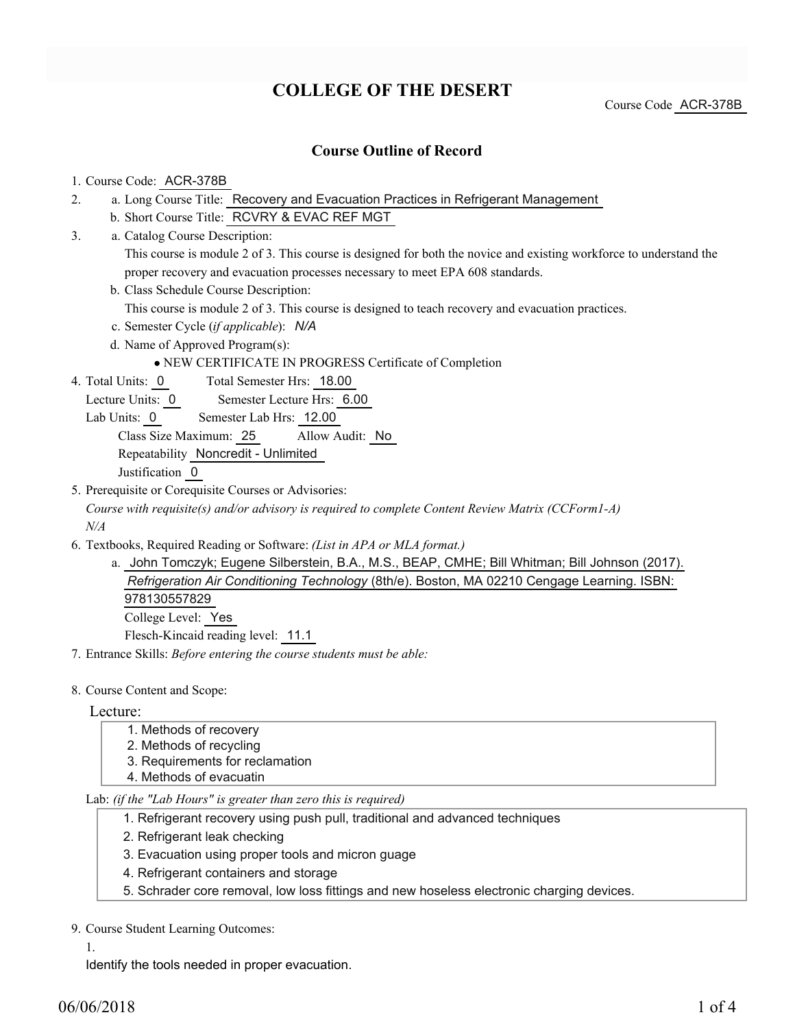# **COLLEGE OF THE DESERT**

Course Code ACR-378B

### **Course Outline of Record**

#### 1. Course Code: ACR-378B

3.

- a. Long Course Title: Recovery and Evacuation Practices in Refrigerant Management 2.
	- b. Short Course Title: RCVRY & EVAC REF MGT
	- Catalog Course Description: a. This course is module 2 of 3. This course is designed for both the novice and existing workforce to understand the proper recovery and evacuation processes necessary to meet EPA 608 standards.
	- b. Class Schedule Course Description:
		- This course is module 2 of 3. This course is designed to teach recovery and evacuation practices.
	- c. Semester Cycle (*if applicable*): *N/A*
	- d. Name of Approved Program(s):
		- NEW CERTIFICATE IN PROGRESS Certificate of Completion
- Total Semester Hrs: 18.00 4. Total Units: 0
	- Lecture Units: 0 Semester Lecture Hrs: 6.00
	- Lab Units: 0 Semester Lab Hrs: 12.00
		- Class Size Maximum: 25 Allow Audit: No
		- Repeatability Noncredit Unlimited

Justification 0

- 5. Prerequisite or Corequisite Courses or Advisories:
	- *Course with requisite(s) and/or advisory is required to complete Content Review Matrix (CCForm1-A) N/A*
- Textbooks, Required Reading or Software: *(List in APA or MLA format.)* 6.
	- a. John Tomczyk; Eugene Silberstein, B.A., M.S., BEAP, CMHE; Bill Whitman; Bill Johnson (2017). *Refrigeration Air Conditioning Technology* (8th/e). Boston, MA 02210 Cengage Learning. ISBN: 978130557829 College Level: Yes Flesch-Kincaid reading level: 11.1
- 7. Entrance Skills: *Before entering the course students must be able:*
- 8. Course Content and Scope:

#### Lecture:

- 1. Methods of recovery
- 2. Methods of recycling
- 3. Requirements for reclamation
- 4. Methods of evacuatin

Lab: *(if the "Lab Hours" is greater than zero this is required)*

- 1. Refrigerant recovery using push pull, traditional and advanced techniques
- 2. Refrigerant leak checking
- 3. Evacuation using proper tools and micron guage
- 4. Refrigerant containers and storage
- 5. Schrader core removal, low loss fittings and new hoseless electronic charging devices.

9. Course Student Learning Outcomes:

1.

Identify the tools needed in proper evacuation.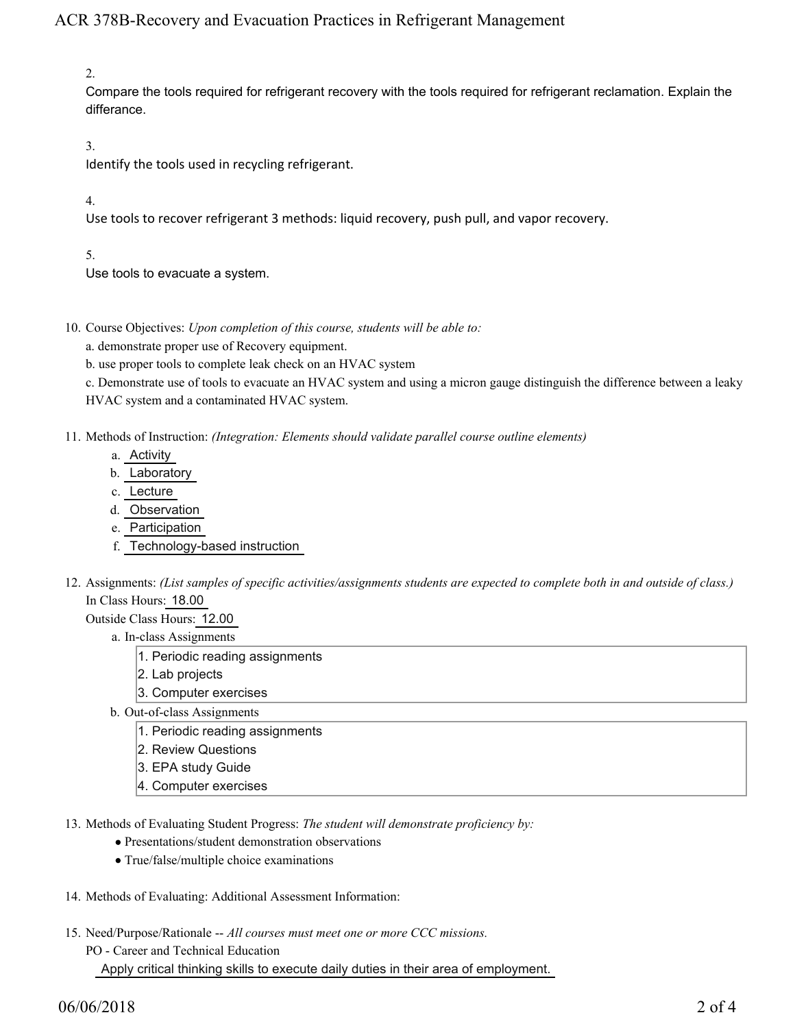## ACR 378B-Recovery and Evacuation Practices in Refrigerant Management

2.

Compare the tools required for refrigerant recovery with the tools required for refrigerant reclamation. Explain the differance.

3.

Identify the tools used in recycling refrigerant.

4.

Use tools to recover refrigerant 3 methods: liquid recovery, push pull, and vapor recovery.

5.

Use tools to evacuate a system.

- 10. Course Objectives: Upon completion of this course, students will be able to:
	- a. demonstrate proper use of Recovery equipment.
	- b. use proper tools to complete leak check on an HVAC system

c. Demonstrate use of tools to evacuate an HVAC system and using a micron gauge distinguish the difference between a leaky HVAC system and a contaminated HVAC system.

- 11. Methods of Instruction: *(Integration: Elements should validate parallel course outline elements)* 
	- a. Activity
	- b. Laboratory
	- c. Lecture
	- d. Observation
	- e. Participation
	- f. Technology-based instruction
- 12. Assignments: (List samples of specific activities/assignments students are expected to complete both in and outside of class.) In Class Hours: 18.00

Outside Class Hours: 12.00

- a. In-class Assignments
	- 1. Periodic reading assignments
	- 2. Lab projects
	- 3. Computer exercises
- b. Out-of-class Assignments
	- 1. Periodic reading assignments
	- 2. Review Questions
	- 3. EPA study Guide
	- 4. Computer exercises
- 13. Methods of Evaluating Student Progress: The student will demonstrate proficiency by:
	- Presentations/student demonstration observations
	- True/false/multiple choice examinations
- 14. Methods of Evaluating: Additional Assessment Information:
- 15. Need/Purpose/Rationale -- All courses must meet one or more CCC missions.
	- PO Career and Technical Education

Apply critical thinking skills to execute daily duties in their area of employment.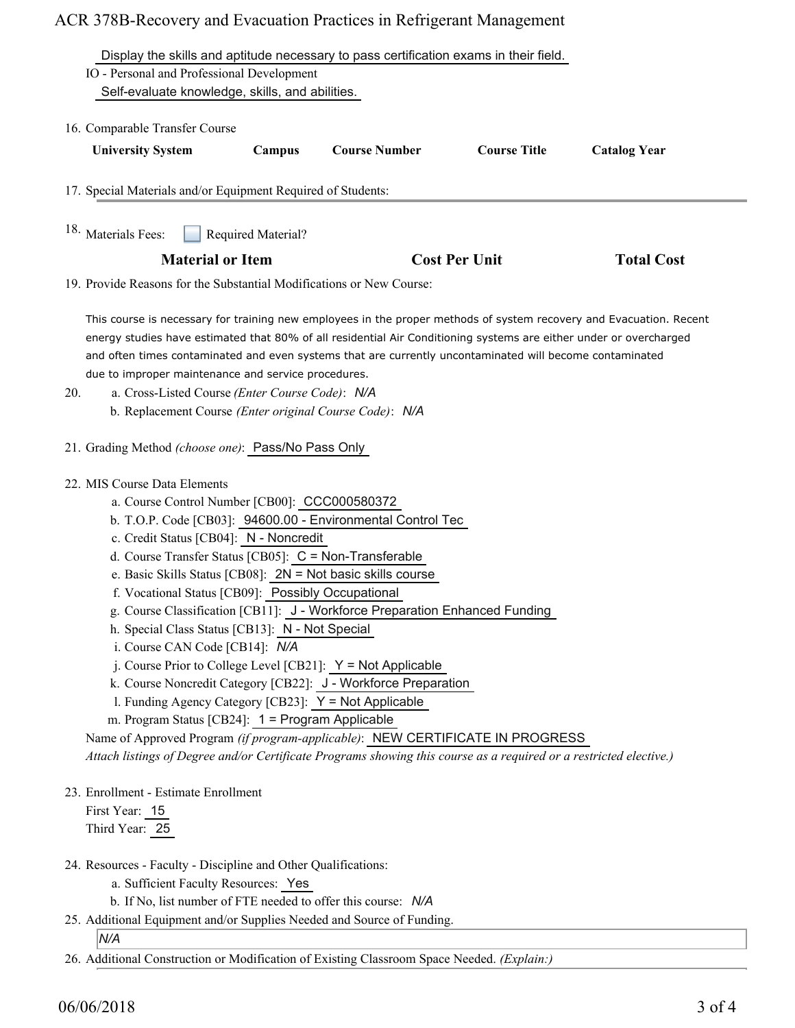## ACR 378B-Recovery and Evacuation Practices in Refrigerant Management

| IO - Personal and Professional Development                                                                                                                                                                                                                                                                                                      |                    | Display the skills and aptitude necessary to pass certification exams in their field.                                         |                      |                     |
|-------------------------------------------------------------------------------------------------------------------------------------------------------------------------------------------------------------------------------------------------------------------------------------------------------------------------------------------------|--------------------|-------------------------------------------------------------------------------------------------------------------------------|----------------------|---------------------|
| Self-evaluate knowledge, skills, and abilities.                                                                                                                                                                                                                                                                                                 |                    |                                                                                                                               |                      |                     |
| 16. Comparable Transfer Course                                                                                                                                                                                                                                                                                                                  |                    |                                                                                                                               |                      |                     |
| <b>University System</b>                                                                                                                                                                                                                                                                                                                        | Campus             | <b>Course Number</b>                                                                                                          | <b>Course Title</b>  | <b>Catalog Year</b> |
| 17. Special Materials and/or Equipment Required of Students:                                                                                                                                                                                                                                                                                    |                    |                                                                                                                               |                      |                     |
| <sup>18.</sup> Materials Fees:                                                                                                                                                                                                                                                                                                                  | Required Material? |                                                                                                                               |                      |                     |
| <b>Material or Item</b>                                                                                                                                                                                                                                                                                                                         |                    |                                                                                                                               | <b>Cost Per Unit</b> |                     |
| 19. Provide Reasons for the Substantial Modifications or New Course:                                                                                                                                                                                                                                                                            |                    |                                                                                                                               |                      |                     |
| energy studies have estimated that 80% of all residential Air Conditioning systems are either under or overcharged<br>and often times contaminated and even systems that are currently uncontaminated will become contaminated<br>due to improper maintenance and service procedures.<br>a. Cross-Listed Course (Enter Course Code): N/A<br>20. |                    |                                                                                                                               |                      |                     |
| b. Replacement Course (Enter original Course Code): N/A                                                                                                                                                                                                                                                                                         |                    |                                                                                                                               |                      |                     |
| 21. Grading Method (choose one): Pass/No Pass Only                                                                                                                                                                                                                                                                                              |                    |                                                                                                                               |                      |                     |
|                                                                                                                                                                                                                                                                                                                                                 |                    |                                                                                                                               |                      |                     |
| 22. MIS Course Data Elements<br>a. Course Control Number [CB00]: CCC000580372                                                                                                                                                                                                                                                                   |                    |                                                                                                                               |                      |                     |
|                                                                                                                                                                                                                                                                                                                                                 |                    | b. T.O.P. Code [CB03]: 94600.00 - Environmental Control Tec                                                                   |                      |                     |
| c. Credit Status [CB04]: N - Noncredit                                                                                                                                                                                                                                                                                                          |                    |                                                                                                                               |                      |                     |
| d. Course Transfer Status [CB05]: $C = \text{Non-Transferable}$                                                                                                                                                                                                                                                                                 |                    |                                                                                                                               |                      |                     |
| f. Vocational Status [CB09]: Possibly Occupational                                                                                                                                                                                                                                                                                              |                    | e. Basic Skills Status [CB08]: $2N = Not basic skills course$                                                                 |                      |                     |
|                                                                                                                                                                                                                                                                                                                                                 |                    | g. Course Classification [CB11]: J - Workforce Preparation Enhanced Funding                                                   |                      |                     |
| h. Special Class Status [CB13]: N - Not Special                                                                                                                                                                                                                                                                                                 |                    |                                                                                                                               |                      |                     |
| i. Course CAN Code [CB14]: N/A                                                                                                                                                                                                                                                                                                                  |                    |                                                                                                                               |                      |                     |
|                                                                                                                                                                                                                                                                                                                                                 |                    | j. Course Prior to College Level [CB21]: Y = Not Applicable<br>k. Course Noncredit Category [CB22]: J - Workforce Preparation |                      |                     |
| 1. Funding Agency Category [CB23]: Y = Not Applicable                                                                                                                                                                                                                                                                                           |                    |                                                                                                                               |                      |                     |
| m. Program Status [CB24]: 1 = Program Applicable                                                                                                                                                                                                                                                                                                |                    |                                                                                                                               |                      |                     |
|                                                                                                                                                                                                                                                                                                                                                 |                    |                                                                                                                               |                      |                     |
| Name of Approved Program (if program-applicable): NEW CERTIFICATE IN PROGRESS                                                                                                                                                                                                                                                                   |                    |                                                                                                                               |                      |                     |
| Attach listings of Degree and/or Certificate Programs showing this course as a required or a restricted elective.)                                                                                                                                                                                                                              |                    |                                                                                                                               |                      |                     |
| 23. Enrollment - Estimate Enrollment                                                                                                                                                                                                                                                                                                            |                    |                                                                                                                               |                      |                     |
| First Year: 15<br>Third Year: 25                                                                                                                                                                                                                                                                                                                |                    |                                                                                                                               |                      |                     |

- 24. Resources Faculty Discipline and Other Qualifications:
	- a. Sufficient Faculty Resources: Yes
	- b. If No, list number of FTE needed to offer this course: *N/A*
- 25. Additional Equipment and/or Supplies Needed and Source of Funding.

*N/A*

26. Additional Construction or Modification of Existing Classroom Space Needed. *(Explain:)*